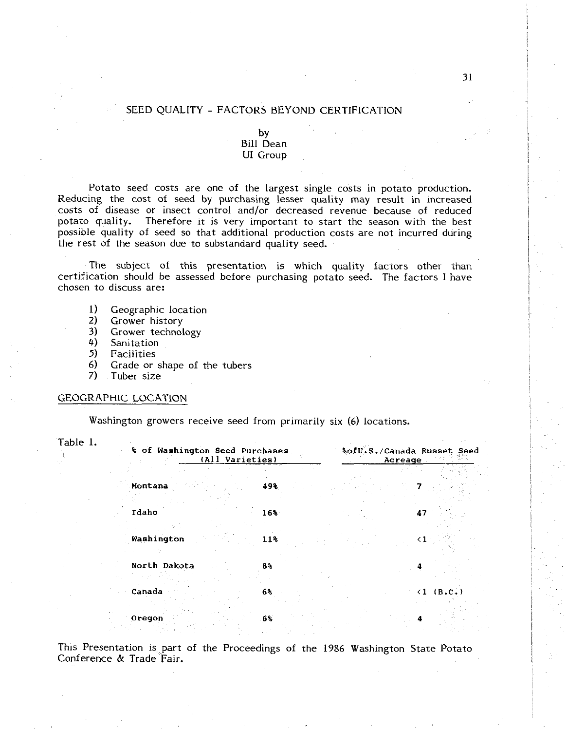# SEED QUALITY - FACTORS BEYOND CERTIFICATION

# by<br>Bill Dean UI Group

Potato seed costs are one of the largest single costs in potato production. Reducing the cost of seed by purchasing lesser quality may result in increased costs of disease or insect control and/or decreased revenue because of reduced potato quality. Therefore it is very important to start the season with the best possible quality of seed so that additional production costs are not incurred during the rest of the season due to substandard quality seed.

The subject of this presentation is which quality factors other than certification should be assessed before purchasing potato seed. The factors I have chosen to discuss are:

- I) Geographic location
- **2)** Grower history
- **3)** Grower technology
- 4) Sanitation<br>5) Facilities
- **5)** Facilities
- **6)** Grade or shape of the tubers
- 7) Tuber size

### GEOGRAPHIC LOCATION

Washington growers receive seed from primarily six *(6)* locations.

| Table 1. | % of Washington Seed Purchases<br>(All Varieties) |            | %ofU.S./Canada Russet Seed<br>Acreage |           |  |
|----------|---------------------------------------------------|------------|---------------------------------------|-----------|--|
|          | Montana                                           | 49%        |                                       |           |  |
|          | Idaho<br>Washington                               | 16%<br>11% | 47<br>$\langle 1 \rangle$             |           |  |
|          | North Dakota                                      | 8%         |                                       |           |  |
|          | Canada                                            | 6%         |                                       | (1 (B.C.) |  |
|          | Oregon                                            | 6%         |                                       |           |  |

This Presentation is part of the Proceedings of the **1986** Washington State Potato Conference & Trade Fair.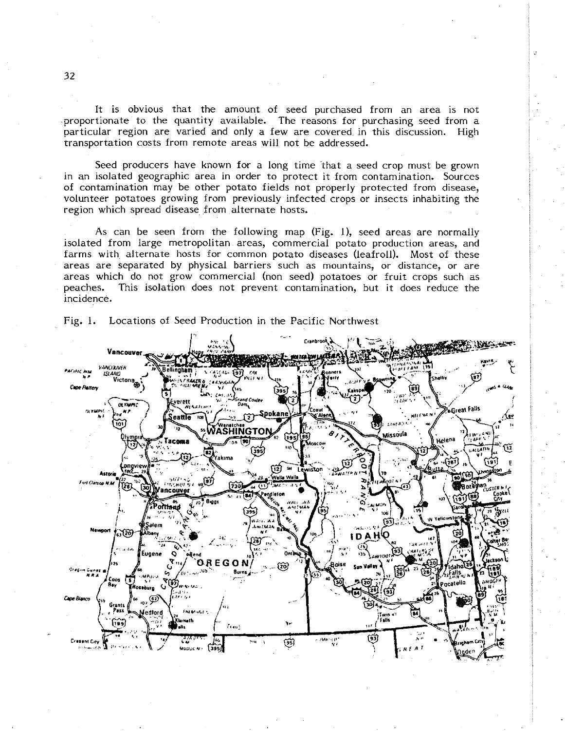It is obvious that the amount of seed purchased from an area is not proportionate to the quantity available. The reasons for purchasing seed from a particular region are varied and only a few are covered. in this discussion. High transportation costs from remote areas will not be addressed.

Seed producers have known for a long time 'that a seed crop must be grown in an isolated geographic area in order to protect it from contamination. Sources of contamination may be other potato fields not properly protected from disease, volunteer potatoes growing from previously infected crops or insects inhabiting the region which spread disease from alternate hosts.

As can be seen from the following map (Fig. I), seed areas are normally isolated from large metropolitan areas, commercial potato production areas, and farms with alternate hosts for common potato diseases (leafroll). Most of these areas are separated by physical barriers such as mountains, or distance, or are areas which do not grow commercial (non seed) potatoes or fruit crops such as peaches. This isolation does not prevent contamination, but it does reduce the incidence.



Fig. 1. Locations of Seed Production in the Pacific Northwest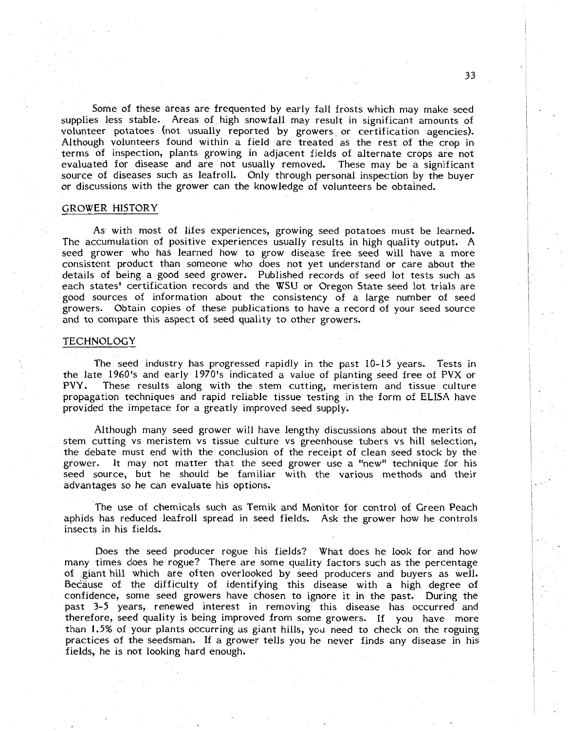Some of these areas are frequented by early fall frosts which may make seed supplies less stable. Areas of high snowfall may result in significant amounts of volunteer potatoes (not usually reported by growers or certification agencies). Although volunteers found within a field are treated as the rest of the crop in terms of inspection, plants growing in adjacent fields of alternate crops are not evaluated for disease and are not usually removed. These may be a significant source of diseases such as leafroll. Only through personal inspection by the buyer or discussions with the grower can the knowledge of volunteers be obtained.

## GROWER HISTORY

As with most of lifes experiences, growing seed potatoes must be learned. The accumulation of positive experiences usually results in high quality output. A seed grower who has learned how to grow disease free seed will have a more consistent product than someone who does not yet understand or care about the details of being a good seed grower. Published records of seed lot tests such as each states' certification records and the WSU or Oregon State seed lot trials are good sources of information about the consistency of a large number of seed growers. Obtain copies of these publications to have a record of your seed source and to compare this aspect of seed quality to other growers.

# **TECHNOLOGY**

The seed industry has progressed rapidly in the past 10-15 years. Tests in the late 1960's and early 1970's indicated a value of planting seed free of PVX or<br>PVY. These results along with the stem cutting, meristem and tissue culture These results along with the stem cutting, meristem and tissue culture propagation techniques and rapid reliable tissue testing in the form of ELISA have provided the impetace for a greatly improved seed supply.

Although many seed grower will have lengthy discussions about the merits of stem cutting vs meristem vs tissue culture vs greenhouse tubers vs hill selection, the debate must end with the conclusion of the receipt of clean seed stock by the grower. It may not matter that the seed grower use a "new" technique for his seed source, but he should be familiar with the various methods and their advantages so he can evaluate his options.

The use of chemicals such as Temik and Monitor for control of Green Peach aphids has reduced leafroll spread in seed fields. Ask the grower how he controls insects in his fields.

Does the seed producer rogue his fields? What does he look for and how many times does he rogue? There are some quality factors such as the percentage of giant hill which are often overlooked by seed producers and buyers as well. Because of the difficulty of identifying this disease with a high degree of confidence, some seed growers have chosen to ignore it in the past. During the past 3-5 years, renewed interest in removing this disease has occurred and therefore, seed quality is being improved from some growers. If you have more than 1.5% of your plants occurring as giant hills, you need to check on the roguing practices of the seedsman. If a grower tells you he never finds any disease in his fields, he is not looking hard enough.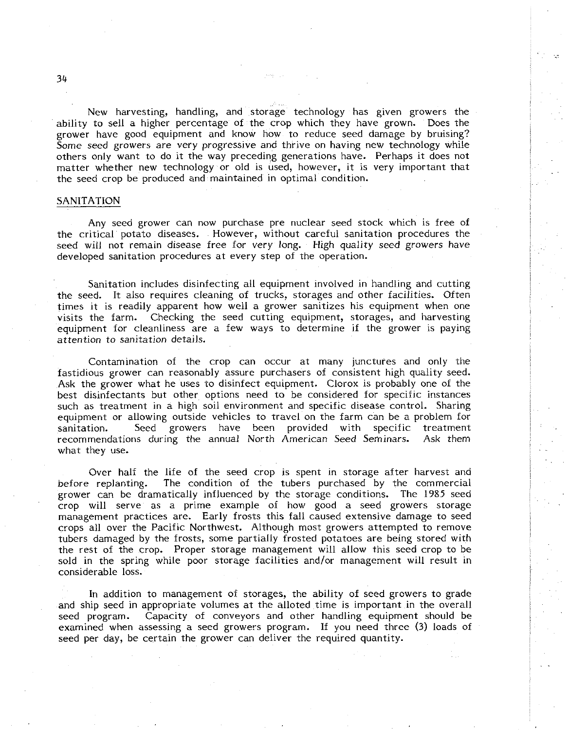New harvesting, handling, and storage technology has given growers the ability to sell a higher percentage of the crop which they have grown. Does the grower have good equipment and know how to reduce seed damage by bruising? Some seed growers are very progressive and thrive on having new technology while others only want to do it the way preceding generations have. Perhaps it does not matter whether new technology or old is used, however, it is very important that the seed crop be produced and maintained in optimal condition.

### SANITATION

Any seed grower can now purchase pre nuclear seed stock which is free of the critical potato diseases. However, without careful sanitation procedures the seed will not remain disease free for very long. High quality seed growers have developed sanitation procedures at every step of the operation.

Sanitation includes disinfecting all equipment involved in handling and cutting the seed. It also requires cleaning of trucks, storages and other facilities. Often times it is readily apparent how well a grower sanitizes his equipment when one visits the farm. Checking the seed cutting equipment, storages, and harvesting equipment for cleanliness are a few ways to determine if the grower is paying attention to sanitation details.

Contamination of the crop can occur at many junctures and only the fastidious grower can reasonably assure purchasers of consistent high quality seed. Ask the grower what he uses to disinfect equipment. Clorox is probably one of the best disinfectants but other options need to be considered for specific instances such as treatment in a high soil environment and specific disease control. Sharing equipment or allowing outside vehicles to travel on the farm can be a problem for sanitation. Seed growers have been provided with specific treatment recommendations during the annual North American Seed Seminars. Ask them what they use.

Over half the life of the seed crop is spent in storage after harvest and before replanting. The condition of the tubers purchased by the commercial grower can be dramatically influenced by the storage conditions. The 1985 seed crop will serve as a prime example of how good a seed growers storage management practices are. Early frosts this fall caused extensive damage to seed crops all over the Pacific Northwest. Although most growers attempted to remove tubers damaged by the frosts, some partially frosted potatoes are being stored with the rest of the crop. Proper storage management will allow this seed crop to be sold in the spring while poor storage facilities and/or management will result in considerable loss.

In addition to management of storages, the ability of seed growers to grade and ship seed in appropriate volumes at the alloted time is important in the overall seed program. Capacity of conveyors and other handling equipment should be examined when assessing a seed growers program. If you need three (3) loads of seed per day, be certain the grower can deliver the required quantity.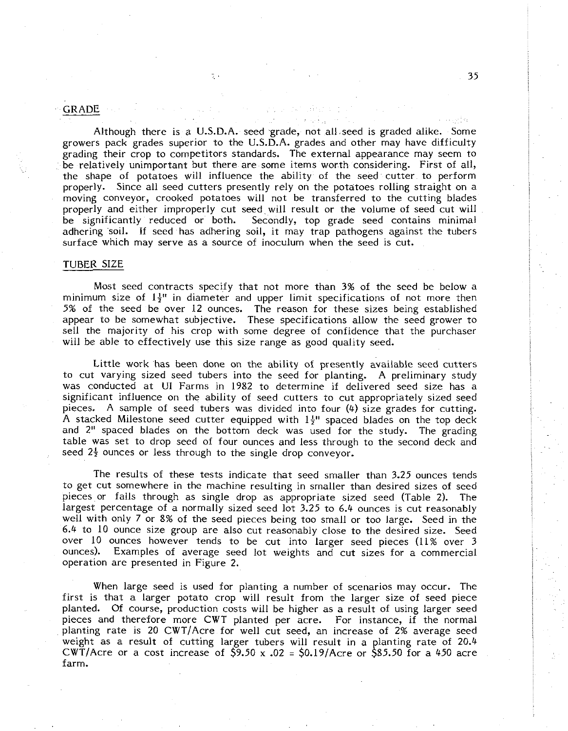# GRADE , . . ~

Although there is a U.S.D.A. seed grade, not all-seed is graded alike. Some growers pack grades superior to the U.S.D.A. grades and other may have difficulty grading their crop to competitors standards. The external appearance may seem to be relatively unimportant but there are some items worth considering. First of all, the shape of potatoes will influence the ability of the seed cutter to perform properly. Since all seed cutters presently rely on the potatoes rolling straight on a moving conveyor, crooked potatoes will not be transferred to the cutting blades properly and either improperly cut seed will result or the volume of seed cut will<br>be significantly reduced or both. Secondly, top grade seed contains minimal Secondly, top grade seed contains minimal adhering soil. If seed has adhering soil, it may trap pathogens against the tubers surface which may serve as a source of inoculum when the seed is cut.

#### TUBER SIZE

Most seed contracts specify that not more than **3%** of the seed be below a minimum size of  $1\frac{1}{2}$ " in diameter and upper limit specifications of not more then 5% of the seed be over 12 ounces. The reason for these sizes being established appear to be somewhat subjective. These specifications allow the seed grower to sell the majority of his crop with some degree of confidence that the purchaser will be able to effectively use this size range as good quality seed.

Little work has been done on the ability of presently available seed cutters to cut varying sized seed tubers into the seed for planting. A preliminary study was conducted at UI Farms in 1982 to determine if delivered seed size has a significant influence on the ability of seed cutters to cut appropriately sized seed pieces. A sample of seed tubers was divided into four  $(4)$  size grades for cutting. A stacked Milestone seed cutter equipped with  $1\frac{1}{2}$ " spaced blades on the top deck and 2" spaced blades on the bottom deck was used for the study. The grading table was set to drop seed of four ounces and less through to the second deck and seed  $2\frac{1}{2}$  ounces or less through to the single drop conveyor.

The results of these tests indicate that seed smaller than 3.25 ounces tends to get cut somewhere in the machine resulting in smaller than desired sizes of seed pieces or falls through as single drop as appropriate sized seed (Table 2). The largest percentage of a normally sized seed lot 3.25 to 6.4 ounces is cut reasonably well with only 7 or 8% of the seed pieces being too small or too large. Seed in the 6.4 to 10 ounce size group are also cut reasonably close to the desired size. Seed over 10 ounces however tends to be cut into larger seed pieces (11% over 3 ounces). Examples of average seed lot weights and cut sizes for a commercial operation are presented in Figure 2.

When large seed is used for planting a number of scenarios may occur. The first is that a larger potato crop will result from the larger size of seed piece planted. Of course, production costs will be higher as a result of using larger seed pieces and therefore more CWT planted per acre. For instance, if the normal planting rate is 20 CWT/Acre for well cut seed, an increase of 2% average seed weight as a result of cutting larger tubers will result in a planting rate of 20.4 CWT/Acre or a cost increase of  $\frac{5}{9}$ .50 x .02 =  $\frac{1}{9}$ .19/Acre or  $\frac{1}{5}$ 85.50 for a 450 acre farm.

ਕਰ ਦਾ ਇਸ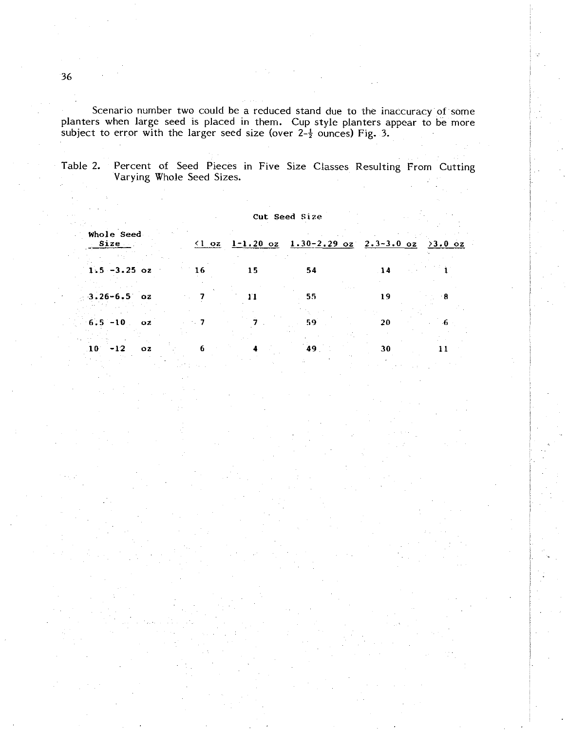Scenario number two could be a reduced stand due to the inaccuracy of some planters when large seed is placed in them. Cup style planters appear to be more subject to error with the larger seed size (over 2- $\frac{1}{2}$  ounces) Fig. 3.

Table 2. Percent of Seed Pieces in Five Size Classes Resulting From Cutting Varying Whole Seed Sizes.

|                    |     |    | Cut Seed Size |                                                                                               |             |     |  |
|--------------------|-----|----|---------------|-----------------------------------------------------------------------------------------------|-------------|-----|--|
| Whole Seed<br>Size |     |    |               | $(1 \text{ oz } 1-1.20 \text{ oz } 1.30-2.29 \text{ oz } 2.3-3.0 \text{ oz } 2.0 \text{ oz }$ |             |     |  |
| $1.5 - 3.25$ oz    |     | 16 | 15            | 54                                                                                            | $\sqrt{14}$ |     |  |
| $-3.26 - 6.5$ oz   |     |    | 11            | 55                                                                                            | 19          | - 8 |  |
| $6.5 - 10$         | OZ. |    |               | 59.                                                                                           | 20          | 6.  |  |
| $10 - 12$          | OZ. | 6  |               | 49                                                                                            | 30          |     |  |

36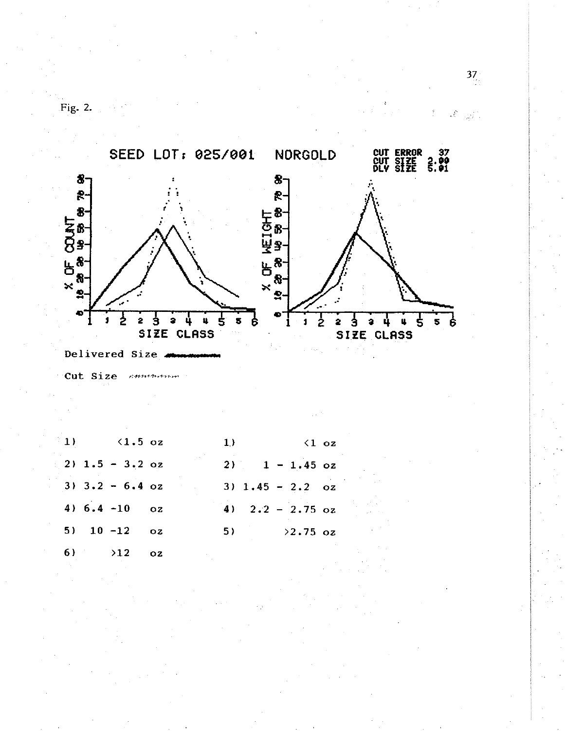

Fig. 2.  $\qquad \qquad$ 

Delivered Size 4

Cut Size communism

 $1)$  $\langle 1.5 \text{ oz}$  $2)$  1.5 - 3.2 oz  $3)$   $3.2 - 6.4$  oz 4)  $6.4 - 10$  $OZ$  $5)$  $10 - 12$  $OZ$  $6)$  $>12$  $OZ$ 

 $1)$  $\langle 1 \rangle$  oz  $2)$  and  $2$  $1 - 1.45$  oz  $3) 1.45 - 2.2 oz$ 4)  $2.2 - 2.75$  oz  $5)$  $>2.75$  oz  $37<sub>1</sub>$ 

 $\mathcal{E}_{\text{out}}$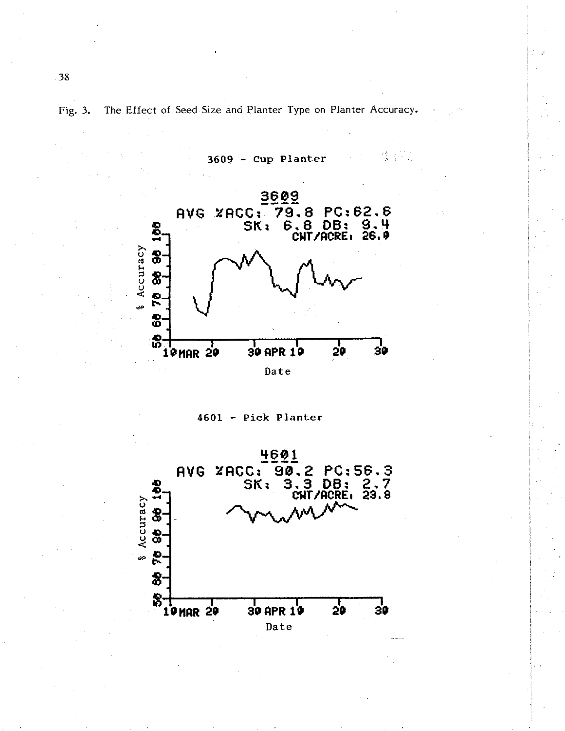